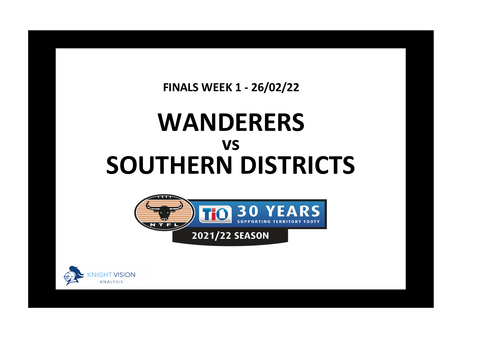**FINALS WEEK 1 - 26/02/22**

## **WANDERERS SOUTHERN DISTRICTS vs**





**x**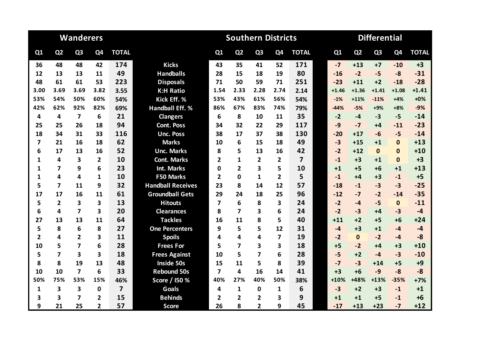|                |                         | <b>Wanderers</b>        |                |                |                          |                         | <b>Southern Districts</b> |                |                         |                | <b>Differential</b> |         |                |                |                |              |
|----------------|-------------------------|-------------------------|----------------|----------------|--------------------------|-------------------------|---------------------------|----------------|-------------------------|----------------|---------------------|---------|----------------|----------------|----------------|--------------|
| Q1             | Q <sub>2</sub>          | Q <sub>3</sub>          | Q4             | <b>TOTAL</b>   |                          | Q1                      | Q <sub>2</sub>            | Q <sub>3</sub> | Q <sub>4</sub>          | <b>TOTAL</b>   |                     | Q1      | Q <sub>2</sub> | Q <sub>3</sub> | Q <sub>4</sub> | <b>TOTAL</b> |
| 36             | 48                      | 48                      | 42             | 174            | <b>Kicks</b>             | 43                      | 35                        | 41             | 52                      | 171            |                     | $-7$    | $+13$          | $+7$           | $-10$          | $+3$         |
| 12             | 13                      | 13                      | 11             | 49             | <b>Handballs</b>         | 28                      | 15                        | 18             | 19                      | 80             |                     | $-16$   | $-2$           | $-5$           | $-8$           | $-31$        |
| 48             | 61                      | 61                      | 53             | 223            | <b>Disposals</b>         | 71                      | 50                        | 59             | 71                      | 251            |                     | $-23$   | $+11$          | $+2$           | $-18$          | $-28$        |
| 3.00           | 3.69                    | 3.69                    | 3.82           | 3.55           | <b>K:H Ratio</b>         | 1.54                    | 2.33                      | 2.28           | 2.74                    | 2.14           |                     | $+1.46$ | $+1.36$        | $+1.41$        | $+1.08$        | $+1.41$      |
| 53%            | 54%                     | 50%                     | 60%            | 54%            | Kick Eff. %              | 53%                     | 43%                       | 61%            | 56%                     | 54%            |                     | $-1%$   | $+11%$         | $-11%$         | $+4%$          | $+0%$        |
| 42%            | 62%                     | 92%                     | 82%            | 69%            | Handball Eff. %          | 86%                     | 67%                       | 83%            | 74%                     | 79%            |                     | $-44%$  | $-5%$          | $+9%$          | $+8%$          | $-9%$        |
| 4              | 4                       | $\overline{\mathbf{z}}$ | 6              | 21             | <b>Clangers</b>          | 6                       | 8                         | 10             | 11                      | 35             |                     | $-2$    | $-4$           | $-3$           | $-5$           | $-14$        |
| 25             | 25                      | 26                      | 18             | 94             | <b>Cont. Poss</b>        | 34                      | 32                        | 22             | 29                      | 117            |                     | $-9$    | $-7$           | +4             | $-11$          | $-23$        |
| 18             | 34                      | 31                      | 33             | 116            | <b>Unc. Poss</b>         | 38                      | 17                        | 37             | 38                      | 130            |                     | $-20$   | $+17$          | $-6$           | $-5$           | $-14$        |
| 7              | 21                      | 16                      | 18             | 62             | <b>Marks</b>             | 10                      | 6                         | 15             | 18                      | 49             |                     | $-3$    | $+15$          | $+1$           | $\mathbf{0}$   | $+13$        |
| 6              | 17                      | 13                      | 16             | 52             | <b>Unc. Marks</b>        | 8                       | 5                         | 13             | 16                      | 42             |                     | $-2$    | $+12$          | $\mathbf{0}$   | $\bf{0}$       | $+10$        |
| 1              | 4                       | $\overline{\mathbf{3}}$ | $\overline{2}$ | 10             | <b>Cont. Marks</b>       | $\overline{2}$          | 1                         | $\overline{2}$ | $\overline{2}$          | $\overline{7}$ |                     | $-1$    | $+3$           | $+1$           | $\mathbf{0}$   | $+3$         |
| 1              | 7                       | 9                       | 6              | 23             | <b>Int. Marks</b>        | 0                       | $\overline{2}$            | 3              | 5                       | 10             |                     | $+1$    | $+5$           | $+6$           | $+1$           | $+13$        |
| 1              | 4                       | 4                       | $\mathbf{1}$   | 10             | <b>F50 Marks</b>         | $\overline{2}$          | $\Omega$                  | $\mathbf{1}$   | $\overline{2}$          | 5              |                     | $-1$    | $+4$           | $+3$           | $-1$           | $+5$         |
| 5              | $\overline{\mathbf{z}}$ | 11                      | 9              | 32             | <b>Handball Receives</b> | 23                      | 8                         | 14             | 12                      | 57             |                     | $-18$   | $-1$           | $-3$           | $-3$           | $-25$        |
| 17             | 17                      | 16                      | 11             | 61             | <b>Groundball Gets</b>   | 29                      | 24                        | 18             | 25                      | 96             |                     | $-12$   | $-7$           | $-2$           | $-14$          | $-35$        |
| 5              | $\overline{2}$          | $\overline{\mathbf{3}}$ | 3              | 13             | <b>Hitouts</b>           | $\overline{\mathbf{z}}$ | 6                         | 8              | 3                       | 24             |                     | $-2$    | $-4$           | $-5$           | $\mathbf{0}$   | $-11$        |
| 6              | 4                       | $\overline{\mathbf{z}}$ | 3              | 20             | <b>Clearances</b>        | 8                       | $\overline{\mathbf{z}}$   | 3              | 6                       | 24             |                     | $-2$    | $-3$           | +4             | $-3$           | $-4$         |
| 27             | 13                      | 13                      | 11             | 64             | <b>Tackles</b>           | 16                      | 11                        | 8              | 5                       | 40             |                     | $+11$   | $+2$           | $+5$           | $+6$           | $+24$        |
| 5              | 8                       | 6                       | 8              | 27             | <b>One Percenters</b>    | 9                       | 5                         | 5              | 12                      | 31             |                     | $-4$    | $+3$           | $+1$           | $-4$           | $-4$         |
| $\overline{2}$ | 4                       | $\overline{2}$          | 3              | 11             | <b>Spoils</b>            | 4                       | 4                         | 4              | $\overline{7}$          | 19             |                     | $-2$    | $\mathbf{0}$   | $-2$           | $-4$           | $-8$         |
| 10             | 5                       | $\overline{\mathbf{z}}$ | 6              | 28             | <b>Frees For</b>         | 5                       | $\overline{\mathbf{z}}$   | 3              | $\overline{\mathbf{3}}$ | 18             |                     | $+5$    | $-2$           | $+4$           | $+3$           | $+10$        |
| 5              | $\overline{\mathbf{z}}$ | 3                       | 3              | 18             | <b>Frees Against</b>     | 10                      | 5                         | 7              | 6                       | 28             |                     | $-5$    | $+2$           | $-4$           | $-3$           | $-10$        |
| 8              | 8                       | 19                      | 13             | 48             | <b>Inside 50s</b>        | 15                      | 11                        | 5              | 8                       | 39             |                     | $-7$    | $-3$           | $+14$          | $+5$           | $+9$         |
| 10             | 10                      | $\overline{\mathbf{z}}$ | 6              | 33             | <b>Rebound 50s</b>       | $\overline{\mathbf{z}}$ | 4                         | 16             | 14                      | 41             |                     | $+3$    | $+6$           | $-9$           | $-8$           | $-8$         |
| 50%            | 75%                     | 53%                     | 15%            | 46%            | Score / I50 %            | 40%                     | 27%                       | 40%            | 50%                     | 38%            |                     | $+10%$  | +48%           | $+13%$         | $-35%$         | $+7%$        |
| 1              | 3                       | 3                       | $\mathbf{0}$   | $\overline{7}$ | Goals                    | 4                       | $\mathbf{1}$              | $\mathbf{0}$   | 1                       | 6              |                     | $-3$    | $+2$           | $+3$           | $-1$           | $+1$         |
| 3              | 3                       | 7                       | $\overline{2}$ | 15             | <b>Behinds</b>           | 2                       | 2                         | 2              | $\mathbf{3}$            | 9              |                     | $+1$    | $+1$           | $+5$           | $-1$           | $+6$         |
| 9              | 21                      | 25                      | $\mathbf{2}$   | 57             | <b>Score</b>             | 26                      | 8                         | $\overline{2}$ | 9                       | 45             |                     | $-17$   | $+13$          | $+23$          | $-7$           | $+12$        |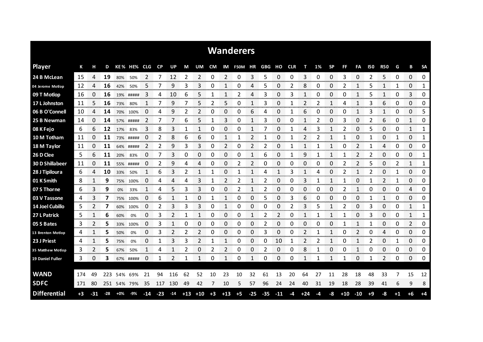|                        |      |                |       |             |           |              |           |           |       |                |                |       | <b>Wanderers</b> |                |            |              |            |       |      |           |          |                |            |            |      |             |             |
|------------------------|------|----------------|-------|-------------|-----------|--------------|-----------|-----------|-------|----------------|----------------|-------|------------------|----------------|------------|--------------|------------|-------|------|-----------|----------|----------------|------------|------------|------|-------------|-------------|
| <b>Player</b>          | К    | н              | D     |             | KE% HE%   | <b>CLG</b>   | <b>CP</b> | <b>UP</b> | М     | UM             | <b>CM</b>      | IM    | <b>F50M</b>      | ΗR             | <b>GBG</b> | но           | <b>CLR</b> | т     | 1%   | <b>SP</b> | FF       | FA             | <b>150</b> | <b>R50</b> | G    | B           | <b>SA</b>   |
| 24 B McLean            | 15   | 4              | 19    | 80%         | 50%       | 2            |           | 12        | 2     | 2              | 0              | 2     | 0                | 3              | 5          | 0            | 0          | 3     | 0    | 0         | 3        | 0              | 2          | 5          | 0    | 0           | 0           |
| 04 Jerome Motlop       | 12   | 4              | 16    | 42%         | 50%       | 5            |           | 9         | 3     | 3              | 0              | 1     | 0                | 4              | 5          | 0            | 2          | 8     | 0    | 0         | 2        | 1              | 5          | 1          | 1    | 0           | 1           |
| 09 T Motlop            | 16   | 0              | 16    |             | 19% ##### | 3            | 4         | 10        | 6     | 5              | 1              | 1     | 2                | 4              | 3          | 0            | 3          | 1     | 0    | 0         | 0        | $\mathbf{1}$   | 5          | 1          | 0    | 3           | 0           |
| 17 L Johnston          | 11   | 5              | 16    | 73%         | 80%       | $\mathbf{1}$ | 7         | 9         | 7     | 5              | $\overline{2}$ | 5     | 0                | 1              | 3          | 0            | 1          | 2     | 2    | 1         | 4        | $\mathbf{1}$   | 3          | 6          | 0    | 0           | 0           |
| 06 B O'Connell         | 10   | 4              | 14    | 70%         | 100%      | 0            | 4         | 9         | 2     | 2              | 0              | 0     | 0                | 6              | 4          | 0            | 1          | 6     | 0    | 0         | $\Omega$ | $\mathbf{1}$   | 3          | 1          | 0    | 0           | 5           |
| 25 B Newman            | 14   | 0              | 14    |             | 57% ##### | 2            | 7         |           | 6     | 5              | 1              | 3     | 0                | 1              | 3          | 0            | 0          | 1     | 2    | 0         | 3        | 0              | 2          | 6          | 0    | 1           | 0           |
| 08 K Fejo              | 6    | 6              | 12    | 17%         | 83%       | 3            | 8         | 3         | 1     |                | 0              | 0     | 0                | 1              | 7          | 0            |            | 4     | 3    | 1         | 2        | 0              | 5          | 0          | 0    | 1           | 1           |
| 10 M Totham            | 11   | 0              | 11    |             | 73% ##### | 0            | 2         | 8         | 6     | 6              | 0              | 1     | 1                | $\overline{2}$ | 1          | 0            | 1          | 2     | 2    | 1         | 1        | 0              | 1          | 0          | 1    | 0           | 1           |
| 18 M Taylor            | 11   | 0              | 11    |             | 64% ##### | 2            | 2         | 9         | 3     | 3              | 0              | 2     | 0                | 2              | 2          | 0            | 1          | 1     | 1    | 1         | 0        | 2              | 1          | 4          | 0    | 0           | 0           |
| 26 D Clee              | 5    | 6              | 11    | 20%         | 83%       | 0            | 7         | 3         | 0     | 0              | 0              | 0     | 0                | 1              | 6          | 0            | 1          | 9     |      | 1         |          | $\overline{2}$ | 2          | 0          | 0    | 0           | 1           |
| <b>30 D Shillabeer</b> | 11   | 0              | 11    | 55%         | #####     | 0            | 2         | 9         | 4     | 4              | 0              | 0     | 2                | 2              | 0          | 0            | 0          | 0     | 0    | 0         | 2        | 2              | 5          | 0          | 2    | 1           | 1           |
| 28 J Tipiloura         | 6    | 4              | 10    | 33%         | 50%       | 1            | 6         | 3         | 2     |                | 1              | 0     | 1                |                | 4          | 1            | 3          | 1     | 4    | 0         | 2        | $\mathbf{1}$   | 2          | 0          | 1    | 0           | 0           |
| 01 K Smith             | 8    | 1              | 9     | 75%         | 100%      | 0            | 4         | 4         | 4     | 3              |                | 2     | 2                | 1              | 2          | 0            | 0          | 3     |      | 1         | 1        | 0              |            | 2          | 1    | 0           | 0           |
| 07 S Thorne            | 6    | 3              | 9     | 0%          | 33%       |              | 4         | 5         | 3     | 3              | 0              | 0     | 2                | 1              | 2          | 0            | 0          | 0     | 0    | 0         | 2        | 1              | 0          | 0          | 0    | 4           | 0           |
| 03 V Tassone           | 4    | 3              | 7     | 75%         | 100%      | O            | b         | 1         | 1     | 0              | 1              | 1     | 0                | 0              | 5          | 0            | 3          | 6     | 0    | 0         | 0        | 0              |            | 1          | 0    | 0           | 0           |
| 14 Joel Cubillo        | 5    | $\overline{2}$ | 7     |             | 60% 100%  | 0            | 2         | 3         | 3     | 3              | 0              | 1     | 0                | 0              | 0          | 0            | 2          | 3     | 5    | 1         | 2        | 0              | 3          | 0          | 0    | 1           | 1           |
| 27 L Patrick           | 5    | 1              | 6     | 60%         | 0%        | 0            | 3         | 2         | 1     | $\mathbf{1}$   | 0              | 0     | 0                | 1              | 2          | 2            | 0          | 1     | 1    | 1         | 1        | 0              | 3          | 0          | 0    | 1           | 1           |
| 05 S Bates             | 3    | 2              | 5     | 33%         | 100%      | 0            | 3         |           | 0     | 0              | 0              | 0     | 0                | 0              | 2          | 0            | 0          | 0     | 0    | 0         |          | 1              |            | 0          | 0    | 2           | 0           |
| 13 Brenton Motlop      | 4    | 1              | 5     | 50%         | 0%        | 0            | 3         | 2         | 2     | $\overline{2}$ | 0              | 0     | 0                | 0              | 3          | 0            | 0          | 2     | 1    | 1         | 0        | 2              | 0          | 4          | 0    | 0           | 0           |
| 23 J Priest            | 4    | 1<br>coco      | 5     | 75%         | 0%        | 0            | 1         | 3         | 3     | 2              | 1              |       | 0                | 0              | 0          | 10<br>mana a |            |       |      | 1         | 0        | 1              | 2          | 0          | 1    | 0<br>an ana | 0<br>omonom |
| 35 Matthew Motlop      | 3    | 2              | 5     | 67%         | 50%       | 1            | 4         | 1         | 2     | 0              | 2              | 2     | 0                | 0              | 2          | 0            | 0          | 8     | 1    | 0         | 0        | 1              | 0          | 0          | 0    | 0           | 0           |
| 19 Daniel Fuller       | 3    | 0              | 3     |             | 67% ##### | 0            | 1         |           | 1     | -1             | 0              | 1     | 0                | 1              | 0          | 0            | 0          | 1     | 1    | 1         | 1        | 0              |            | 2          | 0    | 0           | 0           |
|                        |      |                |       |             |           |              |           |           |       |                |                |       |                  |                |            |              |            |       |      |           |          |                |            |            |      |             |             |
| <b>WAND</b>            | 174  | 49             | 223   | 54%         | 69%       | 21           | 94        | 116       | 62    | 52             | 10             | 23    | 10               | 32             | 61         | 13           | 20         | 64    | 27   | 11        | 28       | 18             | 48         | 33         |      | 15          | 12          |
| <b>SDFC</b>            | 171  | 80             |       | 251 54% 79% |           | 35           | 117       | 130       | 49    | 42             | 7              | 10    | 5                | 57             | 96         | 24           | 24         | 40    | 31   | 19        | 18       | 28             | 39         | 41         | 6    | 9           | 8           |
| <b>Differential</b>    | $+3$ | $-31$          | $-28$ | +0%         | $-9%$     | -14          | $-23$     | $-14$     | $+13$ | $+10$          | $+3$           | $+13$ | $+5$             | $-25$          | $-35$      | $-11$        | -4         | $+24$ | $-4$ | -8        | $+10$    | $-10$          | $+9$       | -8         | $+1$ | +6          | $+4$        |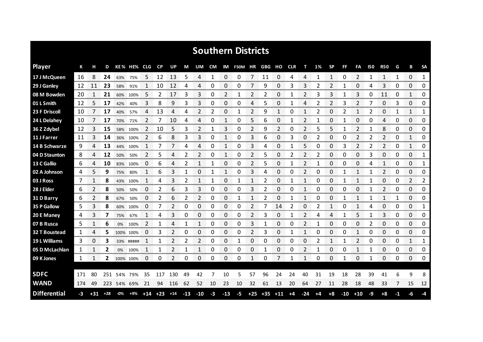|                      |     |       |       |     |             |                |                   |     |       |       |      |              | <b>Southern Districts</b> |       |       |       |            |       |      |           |       |                |              |                |              |              |                |
|----------------------|-----|-------|-------|-----|-------------|----------------|-------------------|-----|-------|-------|------|--------------|---------------------------|-------|-------|-------|------------|-------|------|-----------|-------|----------------|--------------|----------------|--------------|--------------|----------------|
| <b>Player</b>        | К   |       | D     |     | KE% HE% CLG |                | <b>CP</b>         | UP  | М     | UM    | CM   |              | IM F50M HR GBG            |       |       | но    | <b>CLR</b> | т     | 1%   | <b>SP</b> | FF    | FA             | 150          | <b>R50</b>     | G            | B            | <b>SA</b>      |
| 17 J McQueen         | 16  | 8     | 24    | 63% | 75%         | 5              | 12                | 13  | 5     | 4     | 1    | 0            | 0                         | 7     | 11    | 0     | 4          | 4     | 1    | 1         | 0     | 2              | $\mathbf{1}$ | $\mathbf{1}$   | $\mathbf{1}$ | $\Omega$     | $\mathbf{1}$   |
| 29 J Ganley          | 12  | 11    | 23    | 58% | 91%         | 1              | 10                | 12  | 4     | 4     | 0    | 0            | 0                         | 7     | 9     | 0     | 3          | 3     | 2    | 2         | 1     | 0              | 4            | 3              | 0            | 0            | 0              |
| 08 M Bowden          | 20  | 1     | 21    | 60% | 100%        | 5              | 2                 | 17  | 3     | 3     | 0    | 2            | 1                         | 2     | 2     | 0     | 1          | 2     | 3    | 3         | 1     | 3              | 0            | 11             | 0            | $\mathbf{1}$ | 0              |
| 01 L Smith           | 12  | 5     | 17    | 42% | 40%         | 3              | 8                 | 9   | 3     | 3     | 0    | 0            | 0                         | 4     | 5     | 0     | 1          | 4     | 2    | 2         | 3     | 2              | 7            | 0              | 3            | 0            | 0              |
| 23 F Driscoll        | 10  | 7     | 17    | 40% | 57%         | 4              | 13                | 4   | 4     | 2     | 2    | 0            | 1                         | 2     | 9     | 1     | 0          | 1     | 2    | 0         | 2     | $\mathbf{1}$   | 2            | 0              | 1            | $\mathbf{1}$ | 1              |
| 24 L Delahey         | 10  | 7     | 17    | 70% | 71%         | 2              | 7                 | 10  | 4     | 4     | 0    | 1            | 0                         | 5     | 6     | 0     | 1          | 2     | 1    | 0         | 1     | 0              | 0            | 4              | 0            | 0            | 0              |
| 36 Z Zdybel          | 12  | 3     | 15    | 58% | 100%        | 2              | 10                | 5   | 3     | 2     | 1    | 3            | 0                         | 2     | 9     | 2     | 0          | 2     | 5    | 5         | 1     | 2              | 1            | 8              | 0            | 0            | 0              |
| 11 J Farrer          | 11  | 3     | 14    | 36% | 100%        | $\overline{2}$ | 6                 | 8   | 3     | 3     | 0    | 1            | 0                         | 3     | 6     | 0     | 3          | 0     | 2    | 0         | 0     | 2              | 2            | 2              | 0            | $\mathbf{1}$ | 0              |
| 14 B Schwarze        | 9   | 4     | 13    |     | 44% 100%    | -1             | 7                 | 7   | 4     | 4     | 0    | 1            | 0                         | 3     | 4     | 0     | 1          | 5     | 0    | 0         | 3     | $\overline{2}$ | 2            | $\overline{2}$ | 0            | $\mathbf{1}$ | 0              |
| 04 D Staunton        | 8   | 4     | 12    | 50% | 50%         | $\overline{2}$ | 5                 | 4   | 2     | 2     | 0    | 1            | 0                         | 2     | 5     | 0     | 2          | 2     | 2    | 0         | 0     | 0              | 3            | 0              | 0            | 0            | 1              |
| 13 C Gallio          | 6   | 4     | 10    | 83% | 100%        | 0              | 6                 | 4   | 2     |       |      | 0            | 0                         | 2     | 5     | 0     |            | 2     |      | 0         | 0     | 0              | 4            | 1              | 0            | 0            | 1              |
| 02 A Johnson         | 4   | 5     | 9     | 75% | 80%         | 1              | 6                 | 3   | 1     | 0     |      | 1            | 0                         | 3     | 4     | 0     | 0          | 2     | 0    | 0         |       | 1              | 1            | 2              | 0            | 0            | 0              |
| 03 J Ross            | 7   |       | 8     |     | 43% 100%    |                | 4                 | 3   | 2     | 1     | 1    | 0            | 1                         | 1     | 2     | 0     |            | 1     | 0    | 0         |       | 1              | 1            | 0              | 0            | 2            | 2              |
| 28 J Elder           | 6   | 2     | 8     | 50% | 50%         | 0              | 2                 | 6   | 3     | 3     | 0    | 0            | 0                         | 3     | 2     | 0     | 0          |       | 0    | 0         | 0     | 0              | 1            | 2              | 0            | 0            | 0              |
| 31 D Barry           | ь   | 2     | 8     | 67% | 50%         | 0              | 2                 | 6   | 2     | 2     | 0    | 0            |                           |       | 2     | 0     |            |       | 0    | 0         |       |                |              |                |              | 0            | 0              |
| 35 P Gallow          | 5   | 3     | 8     | 60% | 100%        | $\Box$         |                   | 2   | 0     | 0     | 0    | 0<br>wana ma | 0                         | 2     | 7     | 14    | 2          | 0     | 2    |           | O     |                | 4            | 0<br>manan m   | 0            | 0<br>mmmm    | 1<br>vonnonnor |
| 20 E Maney           | 4   | 3     | 7     | 75% | 67%         |                | 4                 | 3   | 0     | 0     | 0    | 0            | 0                         | 2     | 3     | 0     |            | 2     | 4    | 4         |       | 5              |              | 3              | 0            | 0            | 0              |
| 07 B Rusca           | 5.  |       | 6     | 0%  | 100%        | 2              |                   | Δ   |       |       | 0    | 0            | 0                         | 3     |       | 0     | 0          | 2     |      | 0         | O     | 0              | 2            | 0              | 0            | 0            | 0              |
| <b>32 T Boustead</b> | 1   | 4     | 5     |     | 100% 100%   | 0              | 3                 | 2   | 0     | 0     | 0    | 0            | 0                         | 2     | 3     | 0     |            | 1     | 0    | 0         | 0     | 1              | 0            | 0              | 0            | 0            | 0              |
| 19 L Williams        | 3   | 0     | 3     |     | 33% #####   |                | 1                 |     | 2     | 2     | 0    | 0            | 1                         | 0     | 0     | 0     | 0          | 0     | 2    | 1         |       | 2              | 0            | 0              | 0            | 1            | 1              |
| 05 D McLachlan       | 1   |       | 2     | 0%  | 100%        | 1              | 1                 | 2   | 1     | 1     | 0    | 0            | 0                         | 0     |       | 0     | 0          | 2     |      | 0         | 0     | 1              | 1            | 0              | 0            | 0            | 0              |
| 09 K Jones           | 1   | 1     | 2     |     | 100% 100%   | 0              | 0                 | 2   | 0     | 0     | 0    | 0            | 0                         | 1     | 0     | 7     | 1          | 1     | 0    | 0         | 1     | 0              | 1            | 0              | 0            | 0            | 0              |
| <b>SDFC</b>          | 171 | 80    | 251   |     | 54% 79%     | 35             | 117               | 130 | 49    | 42    | 7    | 10           | 5                         | 57    | 96    | 24    | 24         | 40    | 31   | 19        | 18    | 28             | 39           | 41             | 6            | 9            | 8              |
| <b>WAND</b>          | 174 | 49    |       |     | 223 54% 69% | 21             | 94                | 116 | 62    | 52    | 10   | 23           | 10                        | 32    | 61    | 13    | 20         | 64    | 27   | 11        | 28    | 18             | 48           | 33             | 7            | 15           | 12             |
| <b>Differential</b>  | -3  | $+31$ | $+28$ | -0% | +9%         |                | $+14$ $+23$ $+14$ |     | $-13$ | $-10$ | $-3$ | $-13$        | $-5$                      | $+25$ | $+35$ | $+11$ | $+4$       | $-24$ | $+4$ | $+8$      | $-10$ | $+10$          | -9           | $+8$           | -1           | -6           | -4             |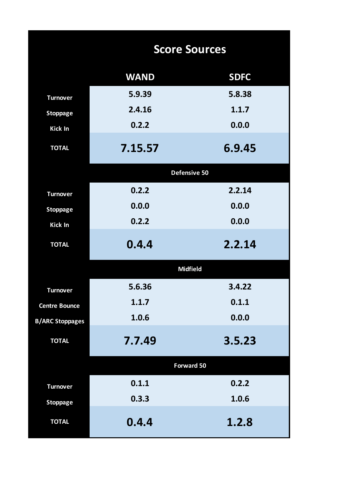|                        |             | <b>Score Sources</b> |
|------------------------|-------------|----------------------|
|                        | <b>WAND</b> | <b>SDFC</b>          |
| <b>Turnover</b>        | 5.9.39      | 5.8.38               |
| <b>Stoppage</b>        | 2.4.16      | 1.1.7                |
| Kick In                | 0.2.2       | 0.0.0                |
| <b>TOTAL</b>           | 7.15.57     | 6.9.45               |
|                        |             | Defensive 50         |
| <b>Turnover</b>        | 0.2.2       | 2.2.14               |
| <b>Stoppage</b>        | 0.0.0       | 0.0.0                |
| Kick In                | 0.2.2       | 0.0.0                |
| <b>TOTAL</b>           | 0.4.4       | 2.2.14               |
|                        |             | <b>Midfield</b>      |
| <b>Turnover</b>        | 5.6.36      | 3.4.22               |
| <b>Centre Bounce</b>   | 1.1.7       | 0.1.1                |
| <b>B/ARC Stoppages</b> | 1.0.6       | 0.0.0                |
| <b>TOTAL</b>           | 7.7.49      | 3.5.23               |
|                        |             | Forward 50           |
| <b>Turnover</b>        | 0.1.1       | 0.2.2                |
| <b>Stoppage</b>        | 0.3.3       | 1.0.6                |
| <b>TOTAL</b>           | 0.4.4       | 1.2.8                |